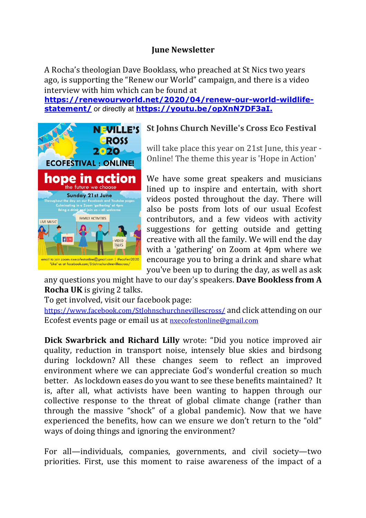### **June Newsletter**

A Rocha's theologian Dave Booklass, who preached at St Nics two years ago, is supporting the "Renew our World" campaign, and there is a video interview with him which can be found at

**https://renewourworld.net/2020/04/renew-our-world-wildlifestatement/** or directly at **https://youtu.be/opXnN7DF3aI.** 



# **St Johns Church Neville's Cross Eco Festival**

will take place this year on 21st June, this year -Online! The theme this year is 'Hope in Action'

We have some great speakers and musicians lined up to inspire and entertain, with short videos posted throughout the day. There will also be posts from lots of our usual Ecofest contributors, and a few videos with activity suggestions for getting outside and getting creative with all the family. We will end the day with a 'gathering' on Zoom at 4pm where we encourage you to bring a drink and share what you've been up to during the day, as well as ask

any questions you might have to our day's speakers. **Dave Bookless from A Rocha UK** is giving 2 talks.

To get involved, visit our facebook page:

https://www.facebook.com/StJohnschurchnevillescross/ and click attending on our Ecofest events page or email us at nxecofestonline@gmail.com

**Dick Swarbrick and Richard Lilly** wrote: "Did you notice improved air quality, reduction in transport noise, intensely blue skies and birdsong during lockdown? All these changes seem to reflect an improved environment where we can appreciate God's wonderful creation so much better. As lockdown eases do you want to see these benefits maintained? It is, after all, what activists have been wanting to happen through our collective response to the threat of global climate change (rather than through the massive "shock" of a global pandemic). Now that we have experienced the benefits, how can we ensure we don't return to the "old" ways of doing things and ignoring the environment?

For all—individuals, companies, governments, and civil society—two priorities. First, use this moment to raise awareness of the impact of a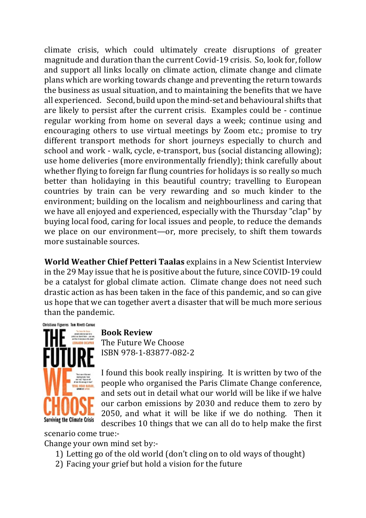climate crisis, which could ultimately create disruptions of greater magnitude and duration than the current Covid-19 crisis. So, look for, follow and support all links locally on climate action, climate change and climate plans which are working towards change and preventing the return towards the business as usual situation, and to maintaining the benefits that we have all experienced. Second, build upon the mind-set and behavioural shifts that are likely to persist after the current crisis. Examples could be - continue regular working from home on several days a week; continue using and encouraging others to use virtual meetings by Zoom etc.; promise to try different transport methods for short journeys especially to church and school and work - walk, cycle, e-transport, bus (social distancing allowing); use home deliveries (more environmentally friendly); think carefully about whether flying to foreign far flung countries for holidays is so really so much better than holidaying in this beautiful country; travelling to European countries by train can be very rewarding and so much kinder to the environment; building on the localism and neighbourliness and caring that we have all enjoyed and experienced, especially with the Thursday "clap" by buying local food, caring for local issues and people, to reduce the demands we place on our environment—or, more precisely, to shift them towards more sustainable sources.

**World Weather Chief Petteri Taalas** explains in a New Scientist Interview in the 29 May issue that he is positive about the future, since COVID-19 could be a catalyst for global climate action. Climate change does not need such drastic action as has been taken in the face of this pandemic, and so can give us hope that we can together avert a disaster that will be much more serious than the pandemic.

Christiana Figueres Tom Rivett-Carnac



#### **Book Review**

The Future We Choose ISBN 978-1-83877-082-2

I found this book really inspiring. It is written by two of the people who organised the Paris Climate Change conference, and sets out in detail what our world will be like if we halve our carbon emissions by 2030 and reduce them to zero by 2050, and what it will be like if we do nothing. Then it describes 10 things that we can all do to help make the first

scenario come true:-

Change your own mind set by:-

- 1) Letting go of the old world (don't cling on to old ways of thought)
- 2) Facing your grief but hold a vision for the future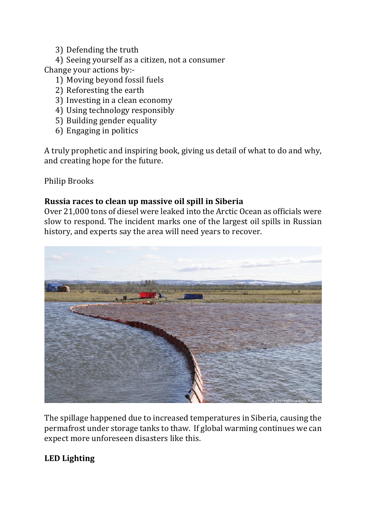3) Defending the truth

4) Seeing yourself as a citizen, not a consumer Change your actions by:-

- 1) Moving beyond fossil fuels
- 2) Reforesting the earth
- 3) Investing in a clean economy
- 4) Using technology responsibly
- 5) Building gender equality
- 6) Engaging in politics

A truly prophetic and inspiring book, giving us detail of what to do and why, and creating hope for the future.

Philip Brooks

### Russia races to clean up massive oil spill in Siberia

Over 21,000 tons of diesel were leaked into the Arctic Ocean as officials were slow to respond. The incident marks one of the largest oil spills in Russian history, and experts say the area will need years to recover.



The spillage happened due to increased temperatures in Siberia, causing the permafrost under storage tanks to thaw. If global warming continues we can expect more unforeseen disasters like this.

## **LED Lighting**